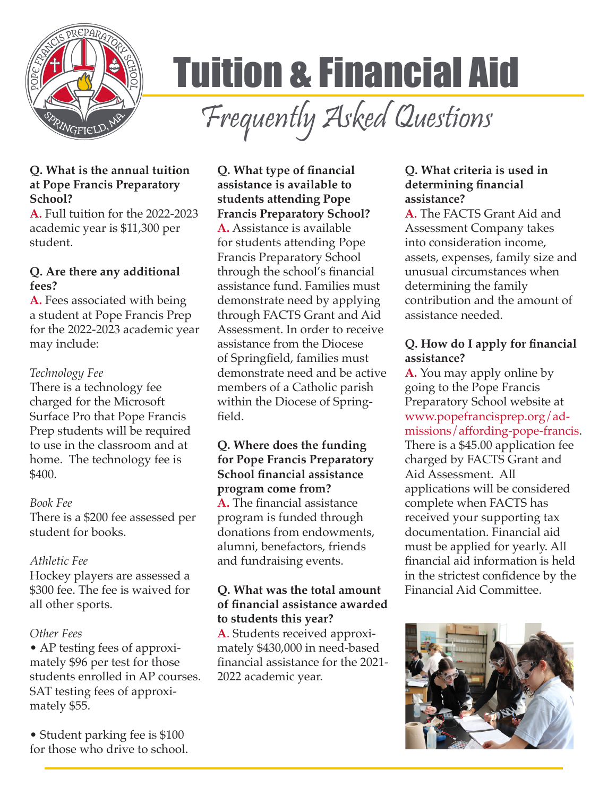

# Tuition & Financial Aid

Frequently Asked Questions

# **Q. What is the annual tuition at Pope Francis Preparatory School?**

**A.** Full tuition for the 2022-2023 academic year is \$11,300 per student.

#### **Q. Are there any additional fees?**

**A.** Fees associated with being a student at Pope Francis Prep for the 2022-2023 academic year may include:

#### *Technology Fee*

There is a technology fee charged for the Microsoft Surface Pro that Pope Francis Prep students will be required to use in the classroom and at home. The technology fee is \$400.

#### *Book Fee*

There is a \$200 fee assessed per student for books.

# *Athletic Fee*

Hockey players are assessed a \$300 fee. The fee is waived for all other sports.

# *Other Fees*

• AP testing fees of approximately \$96 per test for those students enrolled in AP courses. SAT testing fees of approximately \$55.

• Student parking fee is \$100 for those who drive to school.

#### **Q. What type of financial assistance is available to students attending Pope Francis Preparatory School?**

**A.** Assistance is available for students attending Pope Francis Preparatory School through the school's financial assistance fund. Families must demonstrate need by applying through FACTS Grant and Aid Assessment. In order to receive assistance from the Diocese of Springfield, families must demonstrate need and be active members of a Catholic parish within the Diocese of Springfield.

### **Q. Where does the funding for Pope Francis Preparatory School financial assistance program come from?**

**A.** The financial assistance program is funded through donations from endowments, alumni, benefactors, friends and fundraising events.

#### **Q. What was the total amount of financial assistance awarded to students this year?**

**A**. Students received approximately \$430,000 in need-based financial assistance for the 2021- 2022 academic year.

#### **Q. What criteria is used in determining financial assistance?**

**A.** The FACTS Grant Aid and Assessment Company takes into consideration income, assets, expenses, family size and unusual circumstances when determining the family contribution and the amount of assistance needed.

# **Q. How do I apply for financial assistance?**

**A.** You may apply online by going to the Pope Francis Preparatory School website at www.popefrancisprep.org/admissions/affording-pope-francis. There is a \$45.00 application fee charged by FACTS Grant and Aid Assessment. All applications will be considered complete when FACTS has received your supporting tax documentation. Financial aid must be applied for yearly. All financial aid information is held in the strictest confidence by the Financial Aid Committee.